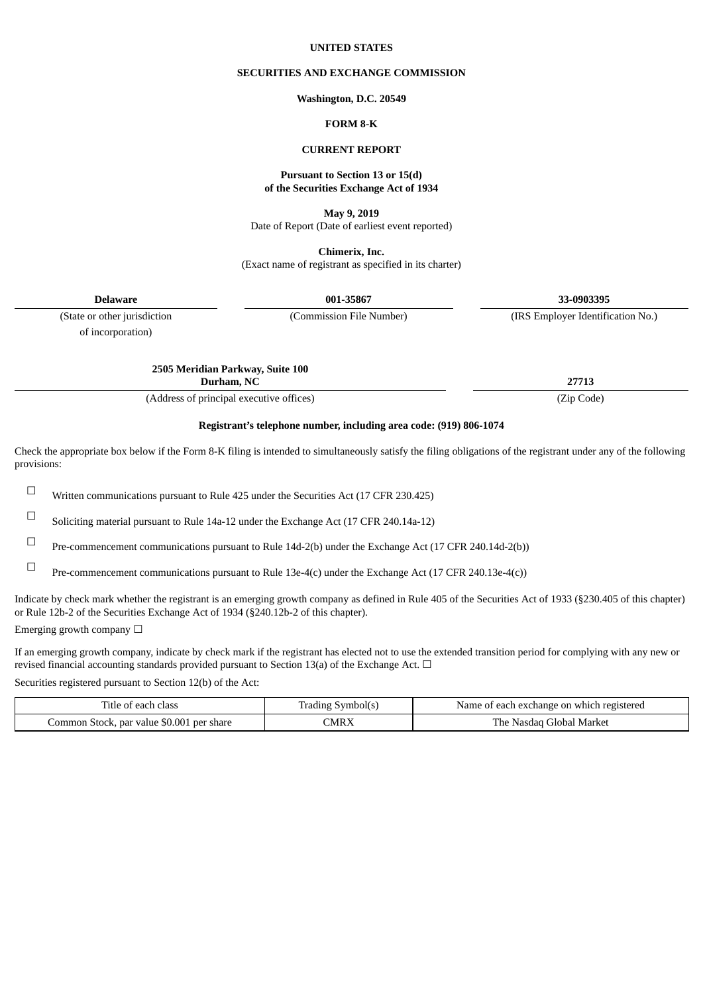#### **UNITED STATES**

#### **SECURITIES AND EXCHANGE COMMISSION**

#### **Washington, D.C. 20549**

### **FORM 8-K**

#### **CURRENT REPORT**

#### **Pursuant to Section 13 or 15(d) of the Securities Exchange Act of 1934**

**May 9, 2019**

Date of Report (Date of earliest event reported)

**Chimerix, Inc.** (Exact name of registrant as specified in its charter)

**Delaware 001-35867 33-0903395**

of incorporation)

(State or other jurisdiction (Commission File Number) (IRS Employer Identification No.)

**2505 Meridian Parkway, Suite 100**

**Durham, NC 27713**

(Address of principal executive offices) (Zip Code)

### **Registrant's telephone number, including area code: (919) 806-1074**

Check the appropriate box below if the Form 8-K filing is intended to simultaneously satisfy the filing obligations of the registrant under any of the following provisions:

☐ Written communications pursuant to Rule <sup>425</sup> under the Securities Act (17 CFR 230.425)

☐ Soliciting material pursuant to Rule 14a-12 under the Exchange Act (17 CFR 240.14a-12)

☐ Pre-commencement communications pursuant to Rule 14d-2(b) under the Exchange Act (17 CFR 240.14d-2(b))

☐ Pre-commencement communications pursuant to Rule 13e-4(c) under the Exchange Act (17 CFR 240.13e-4(c))

Indicate by check mark whether the registrant is an emerging growth company as defined in Rule 405 of the Securities Act of 1933 (§230.405 of this chapter) or Rule 12b-2 of the Securities Exchange Act of 1934 (§240.12b-2 of this chapter).

Emerging growth company  $\Box$ 

If an emerging growth company, indicate by check mark if the registrant has elected not to use the extended transition period for complying with any new or revised financial accounting standards provided pursuant to Section 13(a) of the Exchange Act.  $\Box$ 

Securities registered pursuant to Section 12(b) of the Act:

| Title of each class                       | Trading Symbol(s) | Name of each exchange on which registered |
|-------------------------------------------|-------------------|-------------------------------------------|
| Common Stock, par value \$0.001 per share | MRX               | The Nasdag Global Market                  |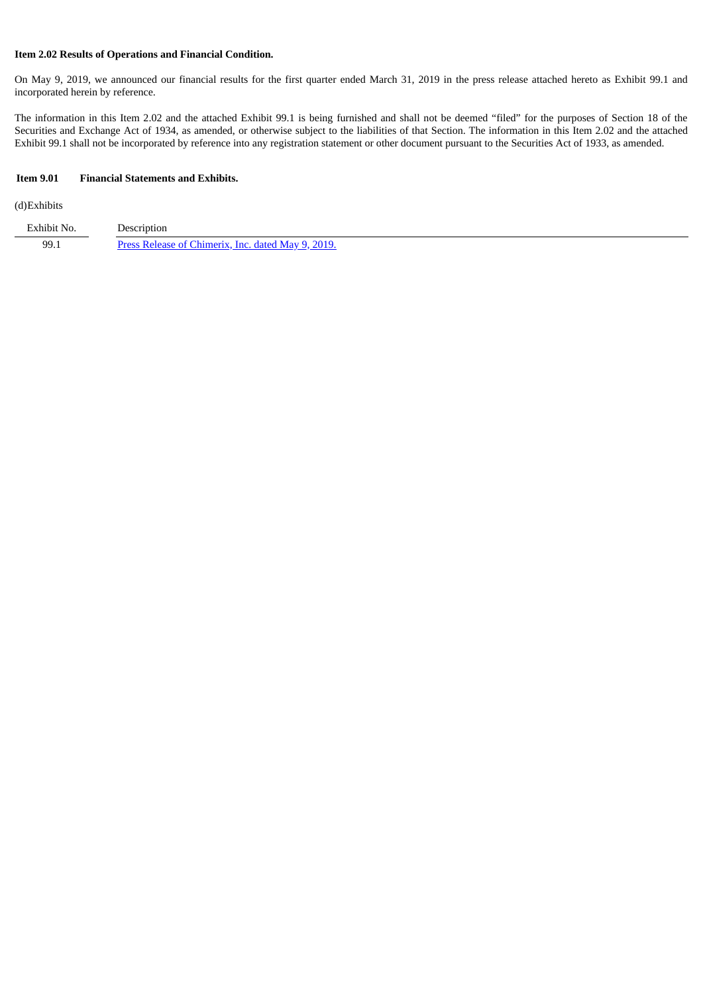## **Item 2.02 Results of Operations and Financial Condition.**

On May 9, 2019, we announced our financial results for the first quarter ended March 31, 2019 in the press release attached hereto as Exhibit 99.1 and incorporated herein by reference.

The information in this Item 2.02 and the attached Exhibit 99.1 is being furnished and shall not be deemed "filed" for the purposes of Section 18 of the Securities and Exchange Act of 1934, as amended, or otherwise subject to the liabilities of that Section. The information in this Item 2.02 and the attached Exhibit 99.1 shall not be incorporated by reference into any registration statement or other document pursuant to the Securities Act of 1933, as amended.

#### **Item 9.01 Financial Statements and Exhibits.**

#### (d)Exhibits

| Exhibit No. | Description                                        |
|-------------|----------------------------------------------------|
| 99.1        | Press Release of Chimerix. Inc. dated May 9, 2019. |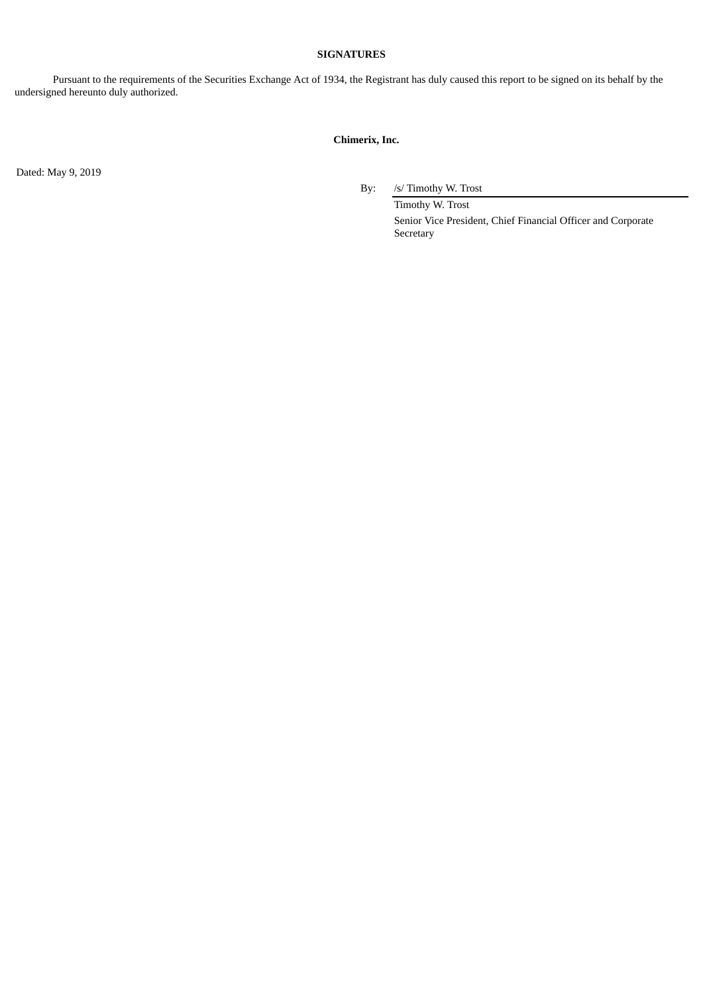### **SIGNATURES**

Pursuant to the requirements of the Securities Exchange Act of 1934, the Registrant has duly caused this report to be signed on its behalf by the undersigned hereunto duly authorized.

# **Chimerix, Inc.**

Dated: May 9, 2019

By: /s/ Timothy W. Trost

Timothy W. Trost Senior Vice President, Chief Financial Officer and Corporate Secretary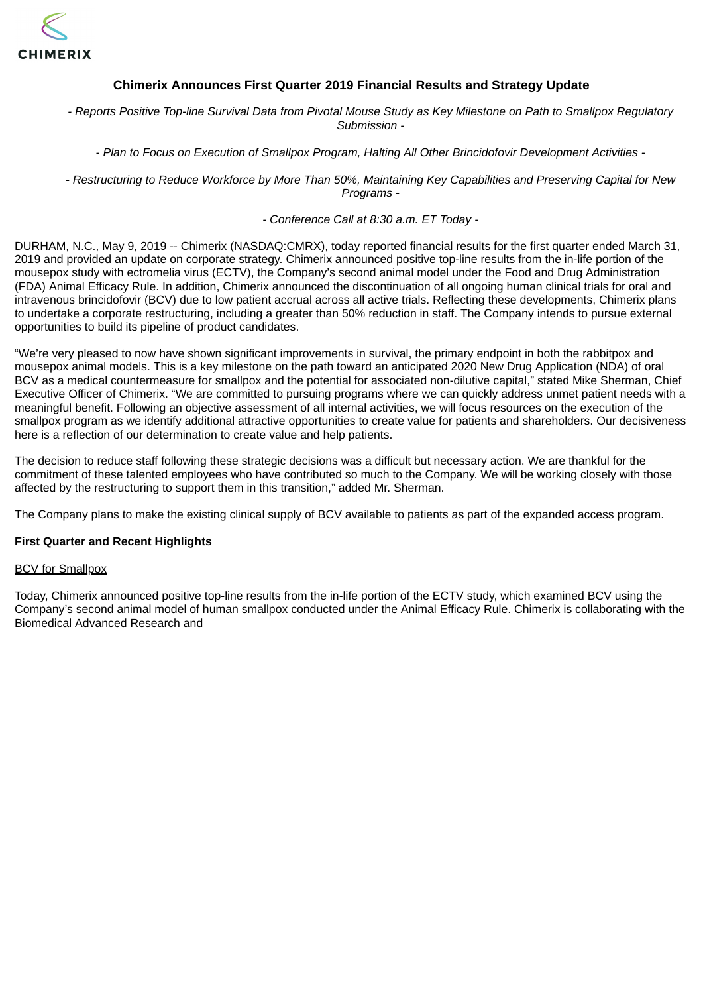<span id="page-3-0"></span>

# **Chimerix Announces First Quarter 2019 Financial Results and Strategy Update**

- Reports Positive Top-line Survival Data from Pivotal Mouse Study as Key Milestone on Path to Smallpox Regulatory *Submission -*

*- Plan to Focus on Execution of Smallpox Program, Halting All Other Brincidofovir Development Activities -*

- Restructuring to Reduce Workforce by More Than 50%. Maintaining Key Capabilities and Preserving Capital for New *Programs -*

*- Conference Call at 8:30 a.m. ET Today -*

DURHAM, N.C., May 9, 2019 -- Chimerix (NASDAQ:CMRX), today reported financial results for the first quarter ended March 31, 2019 and provided an update on corporate strategy. Chimerix announced positive top-line results from the in-life portion of the mousepox study with ectromelia virus (ECTV), the Company's second animal model under the Food and Drug Administration (FDA) Animal Efficacy Rule. In addition, Chimerix announced the discontinuation of all ongoing human clinical trials for oral and intravenous brincidofovir (BCV) due to low patient accrual across all active trials. Reflecting these developments, Chimerix plans to undertake a corporate restructuring, including a greater than 50% reduction in staff. The Company intends to pursue external opportunities to build its pipeline of product candidates.

"We're very pleased to now have shown significant improvements in survival, the primary endpoint in both the rabbitpox and mousepox animal models. This is a key milestone on the path toward an anticipated 2020 New Drug Application (NDA) of oral BCV as a medical countermeasure for smallpox and the potential for associated non-dilutive capital," stated Mike Sherman, Chief Executive Officer of Chimerix. "We are committed to pursuing programs where we can quickly address unmet patient needs with a meaningful benefit. Following an objective assessment of all internal activities, we will focus resources on the execution of the smallpox program as we identify additional attractive opportunities to create value for patients and shareholders. Our decisiveness here is a reflection of our determination to create value and help patients.

The decision to reduce staff following these strategic decisions was a difficult but necessary action. We are thankful for the commitment of these talented employees who have contributed so much to the Company. We will be working closely with those affected by the restructuring to support them in this transition," added Mr. Sherman.

The Company plans to make the existing clinical supply of BCV available to patients as part of the expanded access program.

## **First Quarter and Recent Highlights**

## BCV for Smallpox

Today, Chimerix announced positive top-line results from the in-life portion of the ECTV study, which examined BCV using the Company's second animal model of human smallpox conducted under the Animal Efficacy Rule. Chimerix is collaborating with the Biomedical Advanced Research and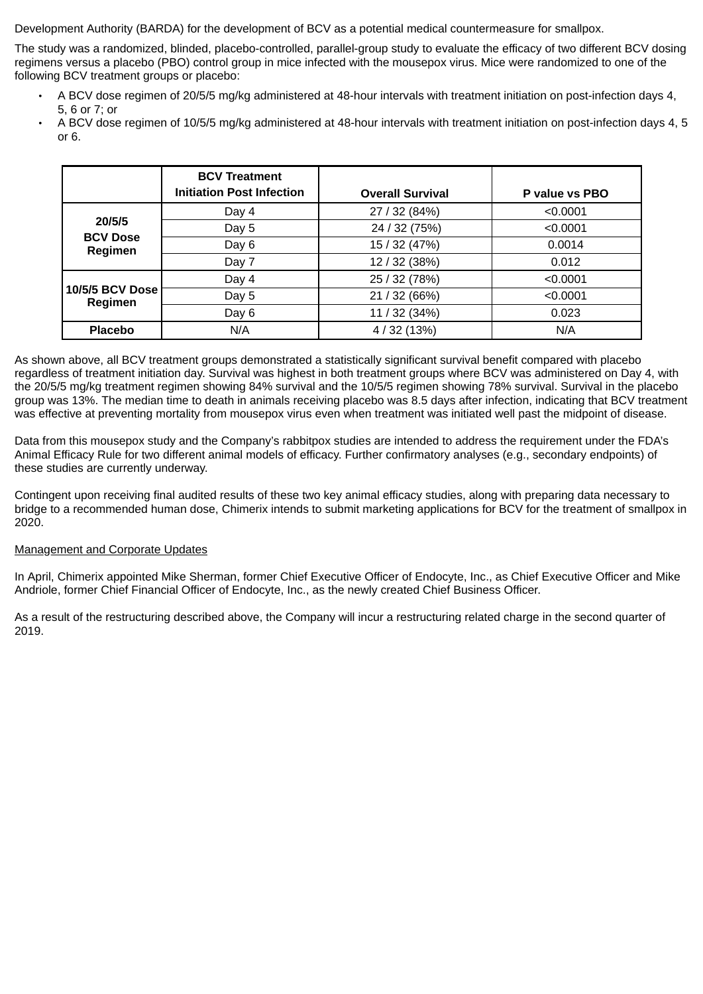Development Authority (BARDA) for the development of BCV as a potential medical countermeasure for smallpox.

The study was a randomized, blinded, placebo-controlled, parallel-group study to evaluate the efficacy of two different BCV dosing regimens versus a placebo (PBO) control group in mice infected with the mousepox virus. Mice were randomized to one of the following BCV treatment groups or placebo:

- A BCV dose regimen of 20/5/5 mg/kg administered at 48-hour intervals with treatment initiation on post-infection days 4, 5, 6 or 7; or
- A BCV dose regimen of 10/5/5 mg/kg administered at 48-hour intervals with treatment initiation on post-infection days 4, 5 or 6.

|                                      | <b>BCV Treatment</b><br><b>Initiation Post Infection</b> | <b>Overall Survival</b> | P value vs PBO |
|--------------------------------------|----------------------------------------------------------|-------------------------|----------------|
|                                      | Day 4                                                    | 27 / 32 (84%)           | < 0.0001       |
| 20/5/5<br><b>BCV Dose</b><br>Regimen | Day 5                                                    | 24 / 32 (75%)           | < 0.0001       |
|                                      | Day 6                                                    | 15 / 32 (47%)           | 0.0014         |
|                                      | Day 7                                                    | 12 / 32 (38%)           | 0.012          |
|                                      | Day 4                                                    | 25 / 32 (78%)           | < 0.0001       |
| <b>10/5/5 BCV Dose</b><br>Regimen    | Day 5                                                    | 21 / 32 (66%)           | < 0.0001       |
|                                      | Day 6                                                    | 11 / 32 (34%)           | 0.023          |
| <b>Placebo</b>                       | N/A                                                      | 4 / 32 (13%)            | N/A            |

As shown above, all BCV treatment groups demonstrated a statistically significant survival benefit compared with placebo regardless of treatment initiation day. Survival was highest in both treatment groups where BCV was administered on Day 4, with the 20/5/5 mg/kg treatment regimen showing 84% survival and the 10/5/5 regimen showing 78% survival. Survival in the placebo group was 13%. The median time to death in animals receiving placebo was 8.5 days after infection, indicating that BCV treatment was effective at preventing mortality from mousepox virus even when treatment was initiated well past the midpoint of disease.

Data from this mousepox study and the Company's rabbitpox studies are intended to address the requirement under the FDA's Animal Efficacy Rule for two different animal models of efficacy. Further confirmatory analyses (e.g., secondary endpoints) of these studies are currently underway.

Contingent upon receiving final audited results of these two key animal efficacy studies, along with preparing data necessary to bridge to a recommended human dose, Chimerix intends to submit marketing applications for BCV for the treatment of smallpox in 2020.

# Management and Corporate Updates

In April, Chimerix appointed Mike Sherman, former Chief Executive Officer of Endocyte, Inc., as Chief Executive Officer and Mike Andriole, former Chief Financial Officer of Endocyte, Inc., as the newly created Chief Business Officer.

As a result of the restructuring described above, the Company will incur a restructuring related charge in the second quarter of 2019.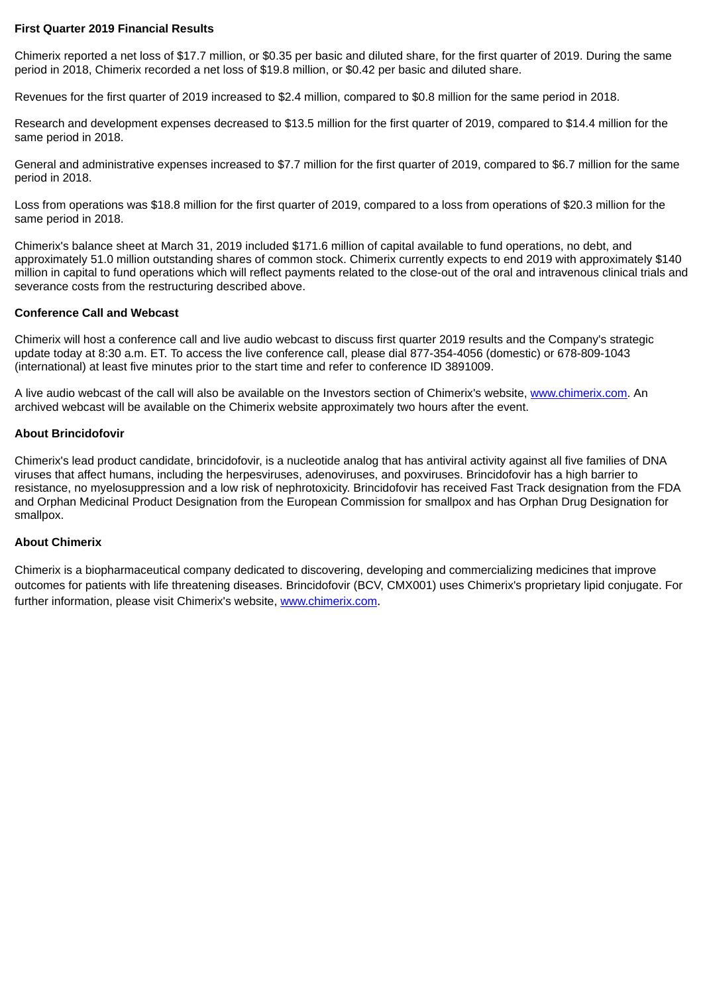# **First Quarter 2019 Financial Results**

Chimerix reported a net loss of \$17.7 million, or \$0.35 per basic and diluted share, for the first quarter of 2019. During the same period in 2018, Chimerix recorded a net loss of \$19.8 million, or \$0.42 per basic and diluted share.

Revenues for the first quarter of 2019 increased to \$2.4 million, compared to \$0.8 million for the same period in 2018.

Research and development expenses decreased to \$13.5 million for the first quarter of 2019, compared to \$14.4 million for the same period in 2018.

General and administrative expenses increased to \$7.7 million for the first quarter of 2019, compared to \$6.7 million for the same period in 2018.

Loss from operations was \$18.8 million for the first quarter of 2019, compared to a loss from operations of \$20.3 million for the same period in 2018.

Chimerix's balance sheet at March 31, 2019 included \$171.6 million of capital available to fund operations, no debt, and approximately 51.0 million outstanding shares of common stock. Chimerix currently expects to end 2019 with approximately \$140 million in capital to fund operations which will reflect payments related to the close-out of the oral and intravenous clinical trials and severance costs from the restructuring described above.

# **Conference Call and Webcast**

Chimerix will host a conference call and live audio webcast to discuss first quarter 2019 results and the Company's strategic update today at 8:30 a.m. ET. To access the live conference call, please dial 877-354-4056 (domestic) or 678-809-1043 (international) at least five minutes prior to the start time and refer to conference ID 3891009.

A live audio webcast of the call will also be available on the Investors section of Chimerix's website, www.chimerix.com. An archived webcast will be available on the Chimerix website approximately two hours after the event.

# **About Brincidofovir**

Chimerix's lead product candidate, brincidofovir, is a nucleotide analog that has antiviral activity against all five families of DNA viruses that affect humans, including the herpesviruses, adenoviruses, and poxviruses. Brincidofovir has a high barrier to resistance, no myelosuppression and a low risk of nephrotoxicity. Brincidofovir has received Fast Track designation from the FDA and Orphan Medicinal Product Designation from the European Commission for smallpox and has Orphan Drug Designation for smallpox.

## **About Chimerix**

Chimerix is a biopharmaceutical company dedicated to discovering, developing and commercializing medicines that improve outcomes for patients with life threatening diseases. Brincidofovir (BCV, CMX001) uses Chimerix's proprietary lipid conjugate. For further information, please visit Chimerix's website, www.chimerix.com.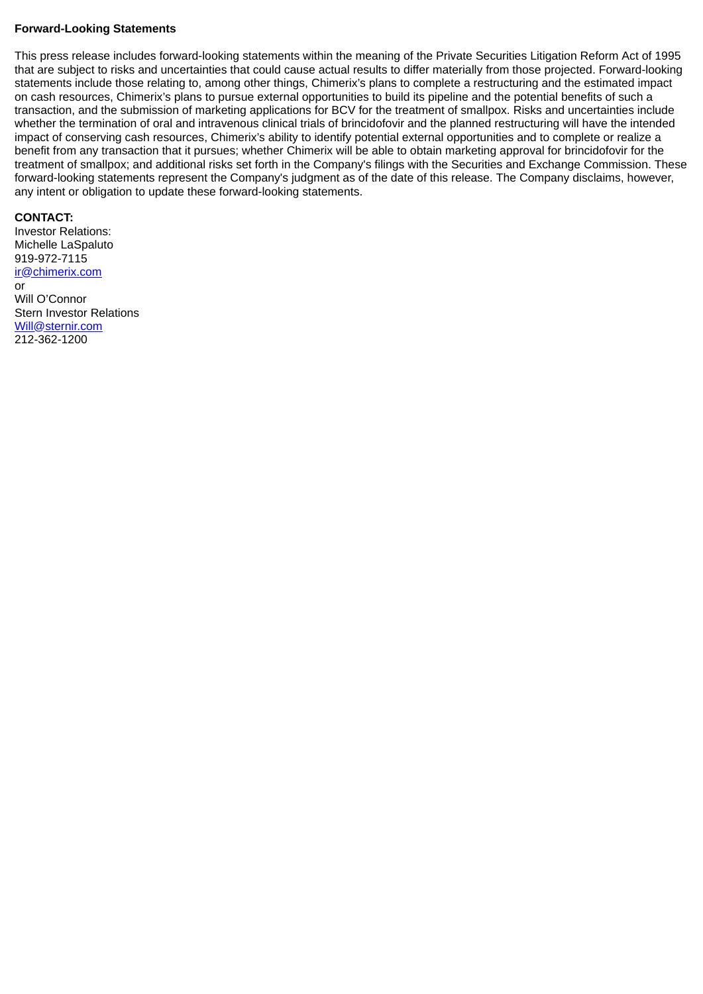### **Forward-Looking Statements**

This press release includes forward-looking statements within the meaning of the Private Securities Litigation Reform Act of 1995 that are subject to risks and uncertainties that could cause actual results to differ materially from those projected. Forward-looking statements include those relating to, among other things, Chimerix's plans to complete a restructuring and the estimated impact on cash resources, Chimerix's plans to pursue external opportunities to build its pipeline and the potential benefits of such a transaction, and the submission of marketing applications for BCV for the treatment of smallpox. Risks and uncertainties include whether the termination of oral and intravenous clinical trials of brincidofovir and the planned restructuring will have the intended impact of conserving cash resources, Chimerix's ability to identify potential external opportunities and to complete or realize a benefit from any transaction that it pursues; whether Chimerix will be able to obtain marketing approval for brincidofovir for the treatment of smallpox; and additional risks set forth in the Company's filings with the Securities and Exchange Commission. These forward-looking statements represent the Company's judgment as of the date of this release. The Company disclaims, however, any intent or obligation to update these forward-looking statements.

### **CONTACT:**

Investor Relations: Michelle LaSpaluto 919-972-7115 ir@chimerix.com or Will O'Connor Stern Investor Relations Will@sternir.com 212-362-1200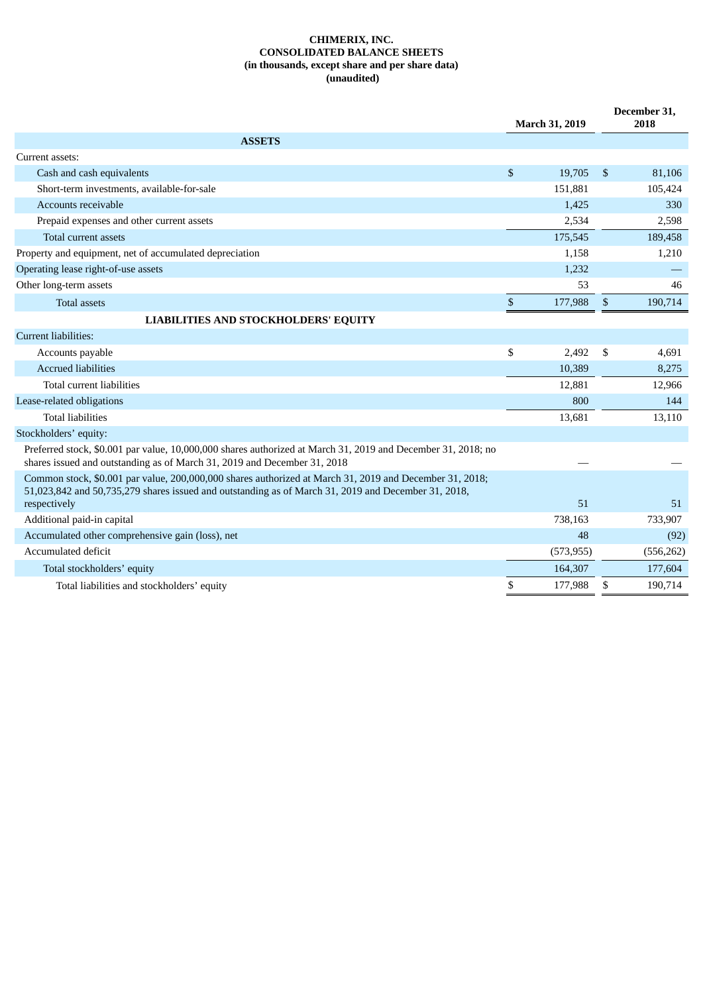#### **CHIMERIX, INC. CONSOLIDATED BALANCE SHEETS (in thousands, except share and per share data) (unaudited)**

|                                                                                                                                                                                                                |      | March 31, 2019 |               | December 31,<br>2018 |
|----------------------------------------------------------------------------------------------------------------------------------------------------------------------------------------------------------------|------|----------------|---------------|----------------------|
| <b>ASSETS</b>                                                                                                                                                                                                  |      |                |               |                      |
| Current assets:                                                                                                                                                                                                |      |                |               |                      |
| Cash and cash equivalents                                                                                                                                                                                      | \$   | 19,705         | $\mathbb{S}$  | 81,106               |
| Short-term investments, available-for-sale                                                                                                                                                                     |      | 151,881        |               | 105,424              |
| Accounts receivable                                                                                                                                                                                            |      | 1,425          |               | 330                  |
| Prepaid expenses and other current assets                                                                                                                                                                      |      | 2,534          |               | 2,598                |
| Total current assets                                                                                                                                                                                           |      | 175,545        |               | 189,458              |
| Property and equipment, net of accumulated depreciation                                                                                                                                                        |      | 1,158          |               | 1,210                |
| Operating lease right-of-use assets                                                                                                                                                                            |      | 1,232          |               |                      |
| Other long-term assets                                                                                                                                                                                         |      | 53             |               | 46                   |
| <b>Total assets</b>                                                                                                                                                                                            | $\$$ | 177,988        | \$            | 190,714              |
| <b>LIABILITIES AND STOCKHOLDERS' EQUITY</b>                                                                                                                                                                    |      |                |               |                      |
| Current liabilities:                                                                                                                                                                                           |      |                |               |                      |
| Accounts payable                                                                                                                                                                                               | \$   | 2,492          | <sup>\$</sup> | 4,691                |
| <b>Accrued liabilities</b>                                                                                                                                                                                     |      | 10,389         |               | 8,275                |
| Total current liabilities                                                                                                                                                                                      |      | 12,881         |               | 12,966               |
| Lease-related obligations                                                                                                                                                                                      |      | 800            |               | 144                  |
| <b>Total liabilities</b>                                                                                                                                                                                       |      | 13,681         |               | 13,110               |
| Stockholders' equity:                                                                                                                                                                                          |      |                |               |                      |
| Preferred stock, \$0.001 par value, 10,000,000 shares authorized at March 31, 2019 and December 31, 2018; no<br>shares issued and outstanding as of March 31, 2019 and December 31, 2018                       |      |                |               |                      |
| Common stock, \$0.001 par value, 200,000,000 shares authorized at March 31, 2019 and December 31, 2018;<br>51,023,842 and 50,735,279 shares issued and outstanding as of March 31, 2019 and December 31, 2018, |      | 51             |               | 51                   |
| respectively<br>Additional paid-in capital                                                                                                                                                                     |      | 738,163        |               | 733,907              |
| Accumulated other comprehensive gain (loss), net                                                                                                                                                               |      | 48             |               | (92)                 |
| Accumulated deficit                                                                                                                                                                                            |      | (573, 955)     |               | (556, 262)           |
| Total stockholders' equity                                                                                                                                                                                     |      | 164,307        |               | 177,604              |
|                                                                                                                                                                                                                | \$   |                |               |                      |
| Total liabilities and stockholders' equity                                                                                                                                                                     |      | 177,988        | \$            | 190,714              |